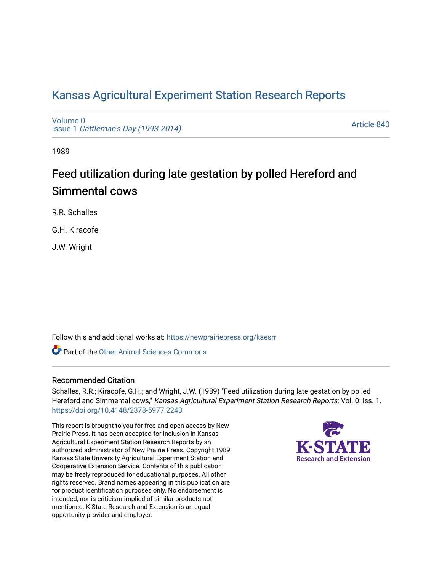# [Kansas Agricultural Experiment Station Research Reports](https://newprairiepress.org/kaesrr)

[Volume 0](https://newprairiepress.org/kaesrr/vol0) Issue 1 [Cattleman's Day \(1993-2014\)](https://newprairiepress.org/kaesrr/vol0/iss1) 

[Article 840](https://newprairiepress.org/kaesrr/vol0/iss1/840) 

1989

# Feed utilization during late gestation by polled Hereford and Simmental cows

R.R. Schalles

G.H. Kiracofe

J.W. Wright

Follow this and additional works at: [https://newprairiepress.org/kaesrr](https://newprairiepress.org/kaesrr?utm_source=newprairiepress.org%2Fkaesrr%2Fvol0%2Fiss1%2F840&utm_medium=PDF&utm_campaign=PDFCoverPages) 

**C** Part of the [Other Animal Sciences Commons](http://network.bepress.com/hgg/discipline/82?utm_source=newprairiepress.org%2Fkaesrr%2Fvol0%2Fiss1%2F840&utm_medium=PDF&utm_campaign=PDFCoverPages)

## Recommended Citation

Schalles, R.R.; Kiracofe, G.H.; and Wright, J.W. (1989) "Feed utilization during late gestation by polled Hereford and Simmental cows," Kansas Agricultural Experiment Station Research Reports: Vol. 0: Iss. 1. <https://doi.org/10.4148/2378-5977.2243>

This report is brought to you for free and open access by New Prairie Press. It has been accepted for inclusion in Kansas Agricultural Experiment Station Research Reports by an authorized administrator of New Prairie Press. Copyright 1989 Kansas State University Agricultural Experiment Station and Cooperative Extension Service. Contents of this publication may be freely reproduced for educational purposes. All other rights reserved. Brand names appearing in this publication are for product identification purposes only. No endorsement is intended, nor is criticism implied of similar products not mentioned. K-State Research and Extension is an equal opportunity provider and employer.

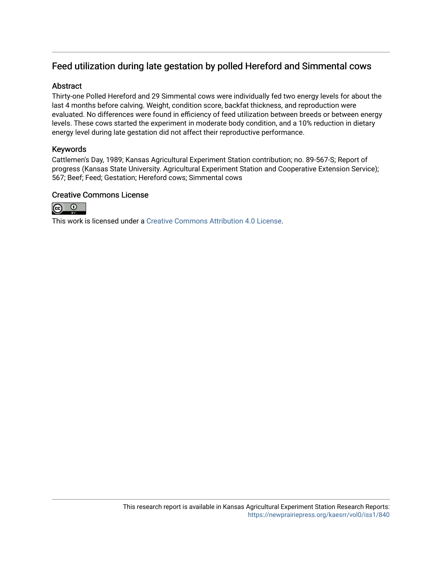# Feed utilization during late gestation by polled Hereford and Simmental cows

## Abstract

Thirty-one Polled Hereford and 29 Simmental cows were individually fed two energy levels for about the last 4 months before calving. Weight, condition score, backfat thickness, and reproduction were evaluated. No differences were found in efficiency of feed utilization between breeds or between energy levels. These cows started the experiment in moderate body condition, and a 10% reduction in dietary energy level during late gestation did not affect their reproductive performance.

## Keywords

Cattlemen's Day, 1989; Kansas Agricultural Experiment Station contribution; no. 89-567-S; Report of progress (Kansas State University. Agricultural Experiment Station and Cooperative Extension Service); 567; Beef; Feed; Gestation; Hereford cows; Simmental cows

## Creative Commons License



This work is licensed under a [Creative Commons Attribution 4.0 License](https://creativecommons.org/licenses/by/4.0/).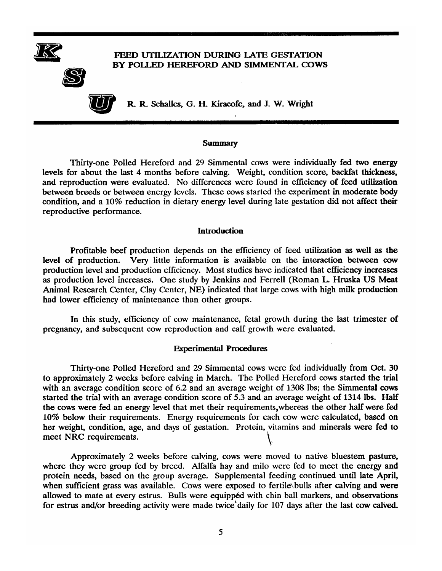

#### **Summary**

Thirty-one Polled Hereford and 29 Simmental cows were individually fed two energy levels for about the last 4 months before calving. Weight, condition score, backfat thickness, and reproduction were evaluated. No differences were found in efficiency of feed utilization between breeds or between energy levels. These cows started the experiment in moderate body condition, and a 10% reduction in dietary energy level during late gestation did not affect their reproductive performance.

#### **Introduction**

Profitable beef production depends on the efficiency of feed utilization as well as the level of production. Very little information is available on the interaction between cow production level and production efficiency. Most studies have indicated that efficiency increases as production level increases. One study by Jenkins and Ferrell (Roman L. Hruska US Meat Animal Research Center, Clay Center, NE) indicated that large cows with high milk production had lower efficiency of maintenance than other groups.

In this study, efficiency of cow maintenance, fetal growth during the last trimester of pregnancy, and subsequent cow reproduction and calf growth were evaluated.

#### **Experimental Procedures**

Thirty-one Polled Hereford and 29 Simmental cows were fed individually from Oct. 30 to approximately 2 weeks before calving in March. The Polled Hereford cows started the trial with an average condition score of 6.2 and an average weight of 1308 lbs; the Simmental cows started the trial with an average condition score of 5.3 and an average weight of 1314 lbs. Half the cows were fed an energy level that met their requirements, whereas the other half were fed 10% below their requirements. Energy requirements for each cow were calculated, based on her weight, condition, age, and days of gestation. Protein, vitamins and minerals were fed to meet NRC requirements.

Approximately 2 weeks before calving, cows were moved to native bluestem pasture, where they were group fed by breed. Alfalfa hay and milo were fed to meet the energy and protein needs, based on the group average. Supplemental feeding continued until late April, when sufficient grass was available. Cows were exposed to fertile bulls after calving and were allowed to mate at every estrus. Bulls were equipped with chin ball markers, and observations for estrus and/or breeding activity were made twice daily for 107 days after the last cow calved.